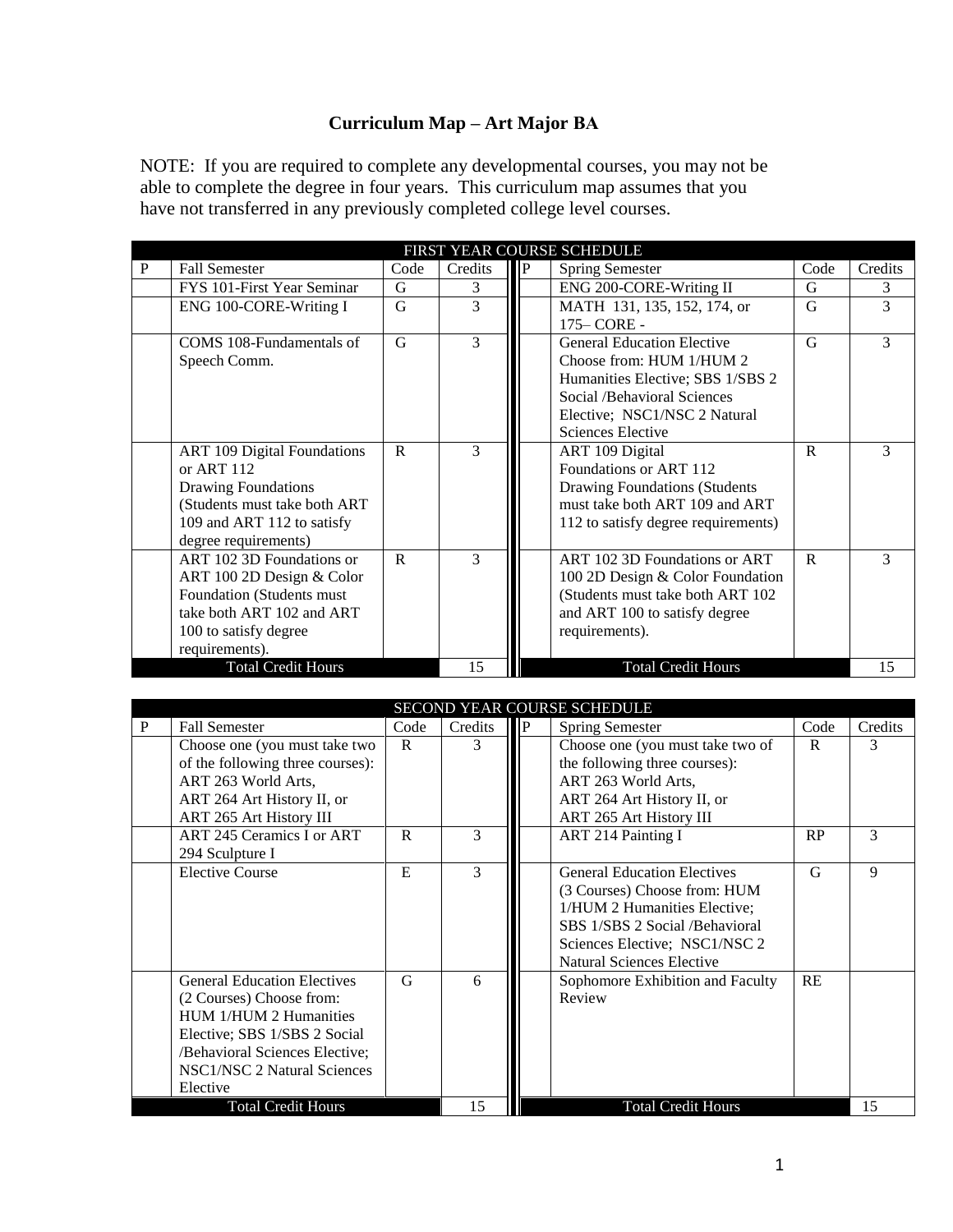## **Curriculum Map – Art Major BA**

NOTE: If you are required to complete any developmental courses, you may not be able to complete the degree in four years. This curriculum map assumes that you have not transferred in any previously completed college level courses.

| FIRST YEAR COURSE SCHEDULE |                                    |              |               |      |                                      |              |         |  |
|----------------------------|------------------------------------|--------------|---------------|------|--------------------------------------|--------------|---------|--|
| P                          | <b>Fall Semester</b>               | Code         | Credits       | llP. | <b>Spring Semester</b>               | Code         | Credits |  |
|                            | FYS 101-First Year Seminar         | G            | 3             |      | ENG 200-CORE-Writing II              | G            | 3       |  |
|                            | ENG 100-CORE-Writing I             | G            | 3             |      | MATH 131, 135, 152, 174, or          | G            | 3       |  |
|                            |                                    |              |               |      | 175 - CORE -                         |              |         |  |
|                            | COMS 108-Fundamentals of           | G            | 3             |      | <b>General Education Elective</b>    | G            | 3       |  |
|                            | Speech Comm.                       |              |               |      | Choose from: HUM 1/HUM 2             |              |         |  |
|                            |                                    |              |               |      | Humanities Elective; SBS 1/SBS 2     |              |         |  |
|                            |                                    |              |               |      | Social /Behavioral Sciences          |              |         |  |
|                            |                                    |              |               |      | Elective; NSC1/NSC 2 Natural         |              |         |  |
|                            |                                    |              |               |      | Sciences Elective                    |              |         |  |
|                            | <b>ART 109 Digital Foundations</b> | $\mathbf{R}$ | $\mathcal{R}$ |      | ART 109 Digital                      | $\mathbf{R}$ | 3       |  |
|                            | or ART 112                         |              |               |      | Foundations or ART 112               |              |         |  |
|                            | <b>Drawing Foundations</b>         |              |               |      | <b>Drawing Foundations (Students</b> |              |         |  |
|                            | (Students must take both ART       |              |               |      | must take both ART 109 and ART       |              |         |  |
|                            | 109 and ART 112 to satisfy         |              |               |      | 112 to satisfy degree requirements)  |              |         |  |
|                            | degree requirements)               |              |               |      |                                      |              |         |  |
|                            | ART 102 3D Foundations or          | $\mathbf{R}$ | $\mathcal{R}$ |      | ART 102 3D Foundations or ART        | $\mathsf{R}$ | 3       |  |
|                            | ART 100 2D Design & Color          |              |               |      | 100 2D Design & Color Foundation     |              |         |  |
|                            | Foundation (Students must          |              |               |      | (Students must take both ART 102)    |              |         |  |
|                            | take both ART 102 and ART          |              |               |      | and ART 100 to satisfy degree        |              |         |  |
|                            | 100 to satisfy degree              |              |               |      | requirements).                       |              |         |  |
|                            | requirements).                     |              |               |      |                                      |              |         |  |
|                            | <b>Total Credit Hours</b>          |              | 15            |      | <b>Total Credit Hours</b>            |              | 15      |  |

| <b>SECOND YEAR COURSE SCHEDULE</b> |                                    |      |         |      |                                    |      |         |  |
|------------------------------------|------------------------------------|------|---------|------|------------------------------------|------|---------|--|
| P                                  | <b>Fall Semester</b>               | Code | Credits | IIP. | <b>Spring Semester</b>             | Code | Credits |  |
|                                    | Choose one (you must take two      | R    | 3       |      | Choose one (you must take two of   | R    | 3       |  |
|                                    | of the following three courses):   |      |         |      | the following three courses):      |      |         |  |
|                                    | ART 263 World Arts.                |      |         |      | ART 263 World Arts,                |      |         |  |
|                                    | ART 264 Art History II, or         |      |         |      | ART 264 Art History II, or         |      |         |  |
|                                    | ART 265 Art History III            |      |         |      | ART 265 Art History III            |      |         |  |
|                                    | ART 245 Ceramics I or ART          | R    | 3       |      | <b>ART 214 Painting I</b>          | RP   | 3       |  |
|                                    | 294 Sculpture I                    |      |         |      |                                    |      |         |  |
|                                    | <b>Elective Course</b>             | E    | 3       |      | <b>General Education Electives</b> | G    | 9       |  |
|                                    |                                    |      |         |      | (3 Courses) Choose from: HUM       |      |         |  |
|                                    |                                    |      |         |      | 1/HUM 2 Humanities Elective;       |      |         |  |
|                                    |                                    |      |         |      | SBS 1/SBS 2 Social /Behavioral     |      |         |  |
|                                    |                                    |      |         |      | Sciences Elective; NSC1/NSC 2      |      |         |  |
|                                    |                                    |      |         |      | <b>Natural Sciences Elective</b>   |      |         |  |
|                                    | <b>General Education Electives</b> | G    | 6       |      | Sophomore Exhibition and Faculty   | RE   |         |  |
|                                    | (2 Courses) Choose from:           |      |         |      | Review                             |      |         |  |
|                                    | HUM 1/HUM 2 Humanities             |      |         |      |                                    |      |         |  |
|                                    | Elective; SBS 1/SBS 2 Social       |      |         |      |                                    |      |         |  |
|                                    | /Behavioral Sciences Elective;     |      |         |      |                                    |      |         |  |
|                                    | NSC1/NSC 2 Natural Sciences        |      |         |      |                                    |      |         |  |
|                                    | Elective                           |      |         |      |                                    |      |         |  |
| <b>Total Credit Hours</b>          |                                    |      | 15      |      | <b>Total Credit Hours</b>          |      | 15      |  |